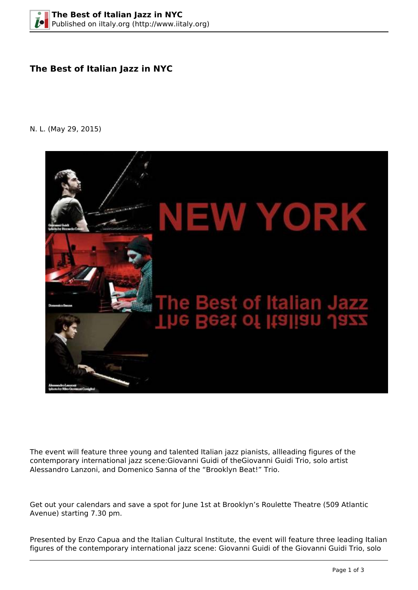## **The Best of Italian Jazz in NYC**

N. L. (May 29, 2015)



The event will feature three young and talented Italian jazz pianists, allleading figures of the contemporary international jazz scene:Giovanni Guidi of theGiovanni Guidi Trio, solo artist Alessandro Lanzoni, and Domenico Sanna of the "Brooklyn Beat!" Trio.

Get out your calendars and save a spot for June 1st at Brooklyn's Roulette Theatre (509 Atlantic Avenue) starting 7.30 pm.

Presented by Enzo Capua and the Italian Cultural Institute, the event will feature three leading Italian figures of the contemporary international jazz scene: Giovanni Guidi of the Giovanni Guidi Trio, solo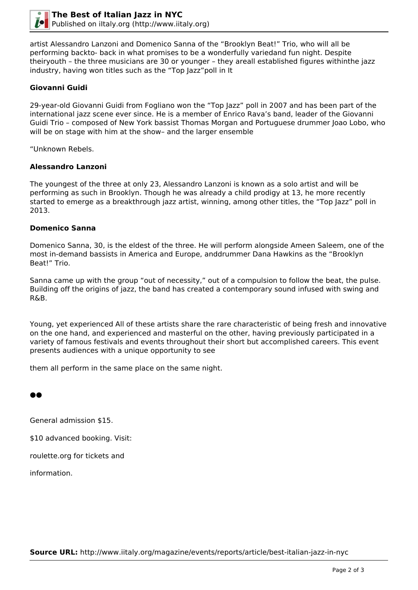

artist Alessandro Lanzoni and Domenico Sanna of the "Brooklyn Beat!" Trio, who will all be performing backto- back in what promises to be a wonderfully variedand fun night. Despite theiryouth – the three musicians are 30 or younger – they areall established figures withinthe jazz industry, having won titles such as the "Top Jazz"poll in It

## **Giovanni Guidi**

29-year-old Giovanni Guidi from Fogliano won the "Top Jazz" poll in 2007 and has been part of the international jazz scene ever since. He is a member of Enrico Rava's band, leader of the Giovanni Guidi Trio – composed of New York bassist Thomas Morgan and Portuguese drummer Joao Lobo, who will be on stage with him at the show- and the larger ensemble

"Unknown Rebels.

## **Alessandro Lanzoni**

The youngest of the three at only 23, Alessandro Lanzoni is known as a solo artist and will be performing as such in Brooklyn. Though he was already a child prodigy at 13, he more recently started to emerge as a breakthrough jazz artist, winning, among other titles, the "Top Jazz" poll in 2013.

## **Domenico Sanna**

Domenico Sanna, 30, is the eldest of the three. He will perform alongside Ameen Saleem, one of the most in-demand bassists in America and Europe, anddrummer Dana Hawkins as the "Brooklyn Beat!" Trio.

Sanna came up with the group "out of necessity," out of a compulsion to follow the beat, the pulse. Building off the origins of jazz, the band has created a contemporary sound infused with swing and R&B.

Young, yet experienced All of these artists share the rare characteristic of being fresh and innovative on the one hand, and experienced and masterful on the other, having previously participated in a variety of famous festivals and events throughout their short but accomplished careers. This event presents audiences with a unique opportunity to see

them all perform in the same place on the same night.

●●

General admission \$15.

\$10 advanced booking. Visit:

roulette.org for tickets and

information.

**Source URL:** http://www.iitaly.org/magazine/events/reports/article/best-italian-jazz-in-nyc